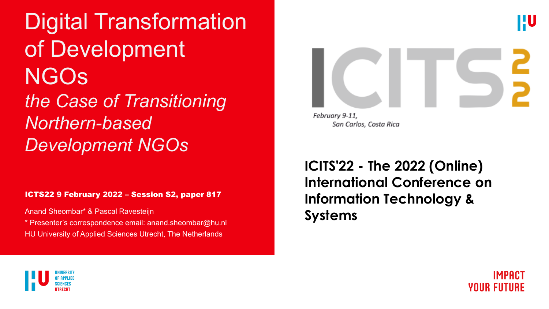Digital Transformation of Development NGOs *the Case of Transitioning Northern-based Development NGOs*

ICTS22 9 February 2022 – Session S2, paper 817

Anand Sheombar\* & Pascal Ravesteijn

\* Presenter's correspondence email: anand.sheombar@hu.nl HU University of Applied Sciences Utrecht, The Netherlands

**ICITS'22 - The 2022 (Online) International Conference on Information Technology & Systems**

February 9-11,

San Carlos, Costa Rica





<u>HU</u>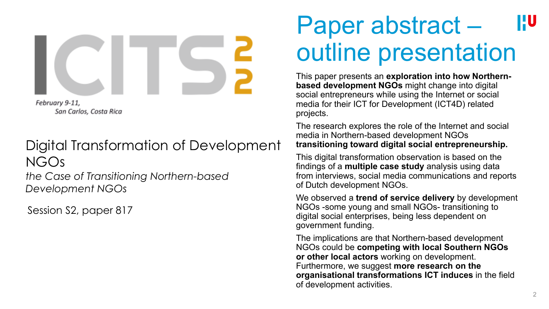

San Carlos, Costa Rica

### Digital Transformation of Development NGOs

*the Case of Transitioning Northern-based Development NGOs*

Session S2, paper 817

### Paper abstract – HU outline presentation

This paper presents an **exploration into how Northernbased development NGOs** might change into digital social entrepreneurs while using the Internet or social media for their ICT for Development (ICT4D) related projects.

The research explores the role of the Internet and social media in Northern-based development NGOs **transitioning toward digital social entrepreneurship.** 

This digital transformation observation is based on the findings of a **multiple case study** analysis using data from interviews, social media communications and reports of Dutch development NGOs.

We observed a **trend of service delivery** by development NGOs -some young and small NGOs- transitioning to digital social enterprises, being less dependent on government funding.

The implications are that Northern-based development NGOs could be **competing with local Southern NGOs or other local actors** working on development. Furthermore, we suggest **more research on the organisational transformations ICT induces** in the field of development activities.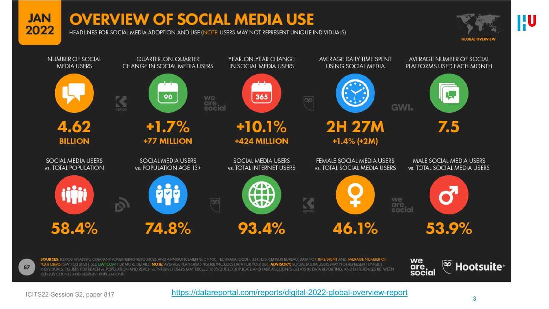#### **JAN** 2022

### **OVERVIEW OF SOCIAL MEDIA USE**

HEADLINES FOR SOCIAL MEDIA ADOPTION AND USE (NOTE: USERS MAY NOT REPRESENT UNIQUE INDIVIDUALS)





87

SOURCES: KEPIOS ANALYSIS; COMPANY ADVERTISING RESOURCES AND ANNOUNCEMENTS; CNNIC; TECHRASA; OCDH; U.N.; U.S. CENSUS BUREAU. DATA FOR TIME SPENT AND AVERAGE NUMBER OF PLATFORMS: GWI (Q3 2021). SEE GWI COM FOR MORE DETAILS. NOTE: AVERAGE PLATFORMS FIGURE INCLUDES DATA FOR YOUTUBE. ADVISORY: SOCIAL MEDIA USERS MAY NOT REPRESENT UNIQUE INDIVIDUALS. FIGURES FOR REACH vs. POPULATION AND REACH vs. INTERNET USERS MAY EXCEED 100% DUE TO DUPLICATE AND FAKE ACCOUNTS, DELAYS IN DATA REPORTING, AND DIFFERENCES BETWEEN CENSUS COUNTS AND RESIDENT POPULATIONS.



ICITS22-Session S2, paper 817 <https://datareportal.com/reports/digital-2022-global-overview-report> 3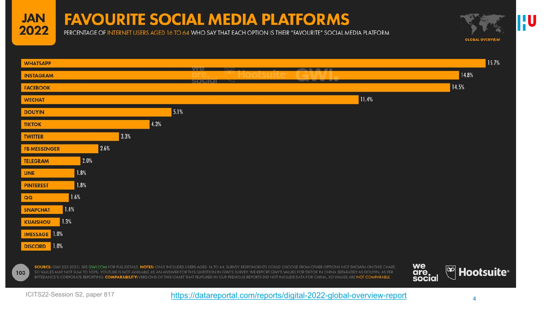#### **JAN** 2022

## **FAVOURITE SOCIAL MEDIA PLATFORMS**

PERCENTAGE OF INTERNET USERS AGED 16 TO 64 WHO SAY THAT EACH OPTION IS THEIR "FAVOURITE" SOCIAL MEDIA PLATFORM



15.7% **WHATSAPP** 14.8% **INSTAGRAM** 14.5% **FACEBOOK** 11.4% **WECHAT** 5.1% **DOUYIN** 4.3% **TIKTOK** 3.3% **TWITTER** 2.6% **FB MESSENGER** 2.0% **TELEGRAM** 1.8% **LINE** 1.8% **PINTEREST** 1.6% QQ  $1.4%$ **SNAPCHAT** 1.3% **KUAISHOU IMESSAGE** 1.0%  $1.0%$ **DISCORD** we SOURCE: GWI (Q3 2021). SEE GWI.COM FOR FULL DETAILS. NOTES: ONLY INCLUDES USERS AGED 16 TO 64. SURVEY RESPONDENTS COULD CHOOSE FROM OTHER OPTIONS NOT SHOWN ON THIS CHART. <sup>@</sup> Hootsuite<sup>®</sup> are<br>social 103 SO VALUES MAY NOT SUM TO 100%. YOUTUBE IS NOT AVAILABLE AS AN ANSWER FOR THIS QUESTION IN GWI'S SURVEY. WE REPORT GWI'S VALUES FOR TIKTOK IN CHINA SEPARATELY AS DOUYIN, AS PER BYTEDANCE'S CORPORATE REPORTING. COMPARABILITY: VERSIONS OF THIS CHART THAT FEATURED IN OUR PREVIOUS REPORTS DID NOT INCLUDE DATA FOR CHINA. SO VALUES ARE NOT COMPARABLE.

<sup>4</sup> ICITS22-Session S2, paper 817 <https://datareportal.com/reports/digital-2022-global-overview-report>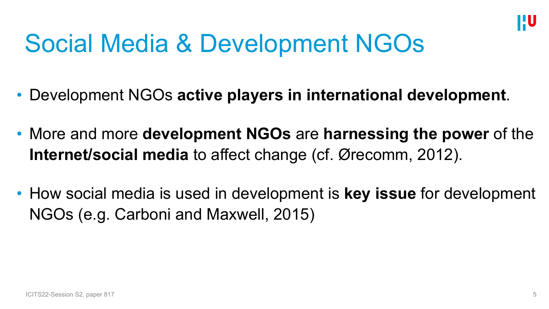

## Social Media & Development NGOs

- Development NGOs **active players in international development**.
- More and more **development NGOs** are **harnessing the power** of the **Internet/social media** to affect change (cf. Ørecomm, 2012).
- How social media is used in development is **key issue** for development NGOs (e.g. Carboni and Maxwell, 2015)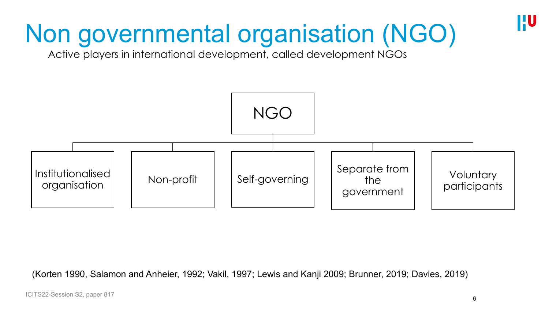# Non governmental organisation (NGO)

Active players in international development, called development NGOs



(Korten 1990, Salamon and Anheier, 1992; Vakil, 1997; Lewis and Kanji 2009; Brunner, 2019; Davies, 2019)

HU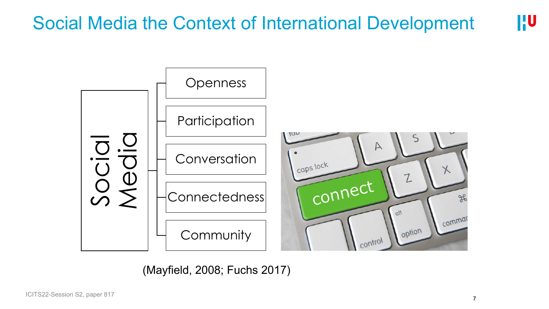#### **HU** Social Media the Context of International Development



(Mayfield, 2008; Fuchs 2017)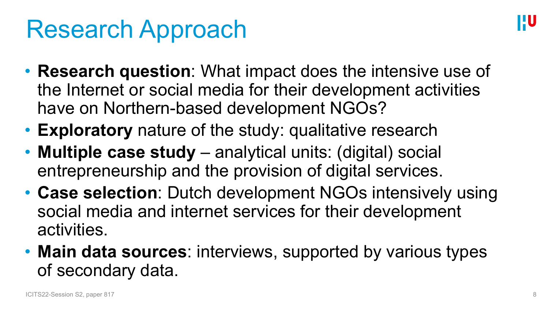## Research Approach

- **Research question**: What impact does the intensive use of the Internet or social media for their development activities have on Northern-based development NGOs?
- **Exploratory** nature of the study: qualitative research
- **Multiple case study**  analytical units: (digital) social entrepreneurship and the provision of digital services.
- **Case selection**: Dutch development NGOs intensively using social media and internet services for their development activities.
- **Main data sources**: interviews, supported by various types of secondary data.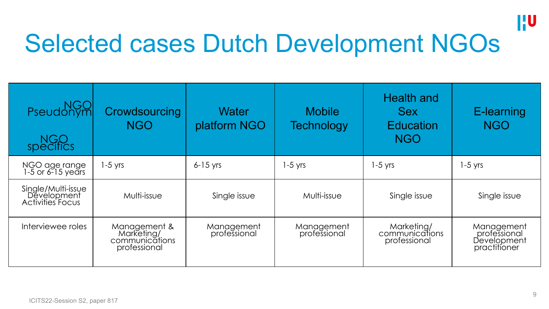

## Selected cases Dutch Development NGOs

| NGO<br>Pseudonym<br>NGO<br>specifics                         | Crowdsourcing<br><b>NGO</b>                                  | Water<br>platform NGO      | <b>Mobile</b><br><b>Technology</b> | <b>Health and</b><br><b>Sex</b><br><b>Education</b><br><b>NGO</b> | E-learning<br><b>NGO</b>                                  |
|--------------------------------------------------------------|--------------------------------------------------------------|----------------------------|------------------------------------|-------------------------------------------------------------------|-----------------------------------------------------------|
| NGO age range<br>1-5 or 6-15 years                           | $1-5$ yrs                                                    | $6-15$ yrs                 | $1-5$ yrs                          | $1-5$ yrs                                                         | $1-5$ yrs                                                 |
| Single/Multi-issue<br>Development<br><b>Activities Focus</b> | Multi-issue                                                  | Single issue               | Multi-issue                        | Single issue                                                      | Single issue                                              |
| Interviewee roles                                            | Management &<br>Marketing/<br>communications<br>professional | Management<br>professional | Management<br>professional         | Marketing/<br>communications<br>professional                      | Management<br>professional<br>Development<br>practitioner |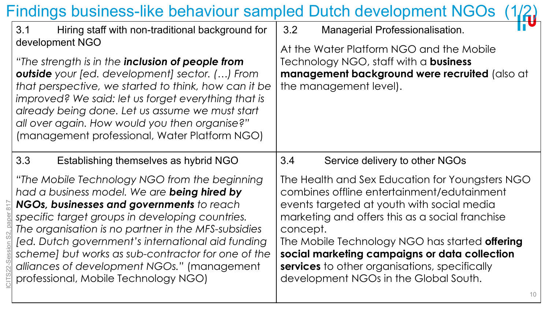#### Findings business-like behaviour sampled Dutch development NGOs 3.1 Hiring staff with non-traditional background for development NGO *"The strength is in the inclusion of people from outside your [ed. development] sector. (…) From that perspective, we started to think, how can it be improved? We said: let us forget everything that is already being done. Let us assume we must start all over again. How would you then organise?"* (management professional, Water Platform NGO) 3.2 Managerial Professionalisation. At the Water Platform NGO and the Mobile Technology NGO, staff with a **business management background were recruited** (also at the management level). 3.3 Establishing themselves as hybrid NGO *"The Mobile Technology NGO from the beginning had a business model. We are being hired by NGOs, businesses and governments to reach specific target groups in developing countries. The organisation is no partner in the MFS-subsidies [ed. Dutch government's international aid funding scheme] but works as sub-contractor for one of the alliances of development NGOs."* (management professional, Mobile Technology NGO) 3.4 Service delivery to other NGOs The Health and Sex Education for Youngsters NGO combines offline entertainment/edutainment events targeted at youth with social media marketing and offers this as a social franchise concept. The Mobile Technology NGO has started **offering social marketing campaigns or data collection services** to other organisations, specifically development NGOs in the Global South.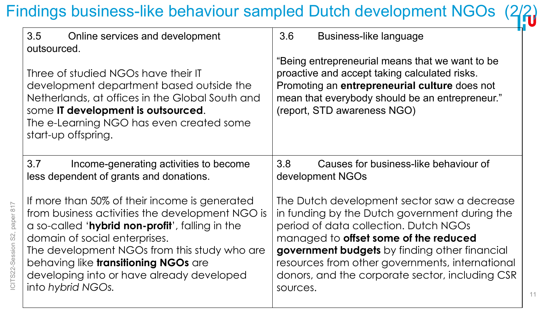## Findings business-like behaviour sampled Dutch development NGOs

| 3.5<br>Online services and development<br>outsourced.<br>Three of studied NGOs have their IT<br>development department based outside the<br>Netherlands, at offices in the Global South and<br>some IT development is outsourced.<br>The e-Learning NGO has even created some<br>start-up offspring. | 3.6<br>Business-like language<br>"Being entrepreneurial means that we want to be<br>proactive and accept taking calculated risks.<br>Promoting an entrepreneurial culture does not<br>mean that everybody should be an entrepreneur."<br>(report, STD awareness NGO) |  |  |
|------------------------------------------------------------------------------------------------------------------------------------------------------------------------------------------------------------------------------------------------------------------------------------------------------|----------------------------------------------------------------------------------------------------------------------------------------------------------------------------------------------------------------------------------------------------------------------|--|--|
| 3.7                                                                                                                                                                                                                                                                                                  | 3.8                                                                                                                                                                                                                                                                  |  |  |
| Income-generating activities to become                                                                                                                                                                                                                                                               | Causes for business-like behaviour of                                                                                                                                                                                                                                |  |  |
| less dependent of grants and donations.                                                                                                                                                                                                                                                              | development NGOs                                                                                                                                                                                                                                                     |  |  |
| If more than 50% of their income is generated                                                                                                                                                                                                                                                        | The Dutch development sector saw a decrease                                                                                                                                                                                                                          |  |  |
| from business activities the development NGO is                                                                                                                                                                                                                                                      | in funding by the Dutch government during the                                                                                                                                                                                                                        |  |  |
| a so-called 'hybrid non-profit', falling in the                                                                                                                                                                                                                                                      | period of data collection. Dutch NGOs                                                                                                                                                                                                                                |  |  |
| domain of social enterprises.                                                                                                                                                                                                                                                                        | managed to offset some of the reduced                                                                                                                                                                                                                                |  |  |
| The development NGOs from this study who are                                                                                                                                                                                                                                                         | government budgets by finding other financial                                                                                                                                                                                                                        |  |  |
| behaving like transitioning NGOs are                                                                                                                                                                                                                                                                 | resources from other governments, international                                                                                                                                                                                                                      |  |  |
| developing into or have already developed                                                                                                                                                                                                                                                            | donors, and the corporate sector, including CSR                                                                                                                                                                                                                      |  |  |
| into hybrid NGOs.                                                                                                                                                                                                                                                                                    | sources.                                                                                                                                                                                                                                                             |  |  |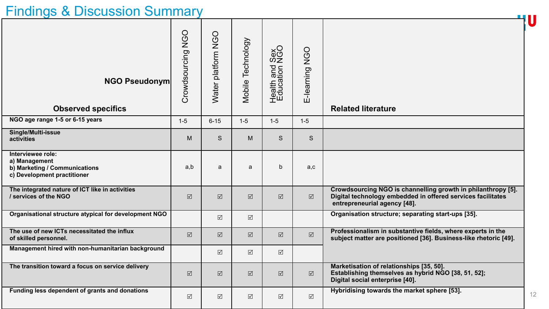### Findings & Discussion Summary

| $\frac{1}{2}$ manigo $\alpha$ Diocaccion Carinhar                                                  |                             |                      |                      |                      |                      |                                                                                                                                                             |    |
|----------------------------------------------------------------------------------------------------|-----------------------------|----------------------|----------------------|----------------------|----------------------|-------------------------------------------------------------------------------------------------------------------------------------------------------------|----|
| <b>NGO Pseudonym</b><br><b>Observed specifics</b>                                                  | <b>NGO</b><br>Crowdsourcing | Water platform NGO   | Mobile Technology    | Health and \$        | E-learning NGO       | <b>Related literature</b>                                                                                                                                   | 4U |
| NGO age range 1-5 or 6-15 years                                                                    | $1 - 5$                     | $6 - 15$             | $1-5$                | $1 - 5$              | $1-5$                |                                                                                                                                                             |    |
| Single/Multi-issue<br>activities                                                                   | M                           | S                    | M                    | S                    | S                    |                                                                                                                                                             |    |
| Interviewee role:<br>a) Management<br>b) Marketing / Communications<br>c) Development practitioner | a,b                         | a                    | a                    | $\mathsf{b}$         | a,c                  |                                                                                                                                                             |    |
| The integrated nature of ICT like in activities<br>/ services of the NGO                           | $\boxed{\checkmark}$        | $\boxed{\checkmark}$ | $\boxed{\text{V}}$   | $\triangledown$      | $\boxed{\checkmark}$ | Crowdsourcing NGO is channelling growth in philanthropy [5].<br>Digital technology embedded in offered services facilitates<br>entrepreneurial agency [48]. |    |
| Organisational structure atypical for development NGO                                              |                             | $\sqrt{}$            | $\boxed{\checkmark}$ |                      |                      | Organisation structure; separating start-ups [35].                                                                                                          |    |
| The use of new ICTs necessitated the influx<br>of skilled personnel.                               | $\boxed{\checkmark}$        | $\boxed{\mathbf{N}}$ | $\boxed{\checkmark}$ | $\boxed{\checkmark}$ | $\boxed{\checkmark}$ | Professionalism in substantive fields, where experts in the<br>subject matter are positioned [36]. Business-like rhetoric [49].                             |    |
| Management hired with non-humanitarian background                                                  |                             | $\triangledown$      | $\sqrt{\phantom{.}}$ | $\boxed{\sqrt}$      |                      |                                                                                                                                                             |    |
| The transition toward a focus on service delivery                                                  | $\boxed{\mathbf{v}}$        | $\boxed{\mathbf{N}}$ | $\boxed{\text{V}}$   | $\boxed{\text{V}}$   | $\boxed{\mathbf{Z}}$ | Marketisation of relationships [35, 50].<br>Establishing themselves as hybrid NGO [38, 51, 52];<br>Digital social enterprise [40].                          |    |
| Funding less dependent of grants and donations                                                     | $\Delta$                    | $\sqrt{\phantom{.}}$ | $\boxed{\checkmark}$ | $\sqrt{\phantom{.}}$ | $\boxed{\checkmark}$ | Hybridising towards the market sphere [53].                                                                                                                 | 12 |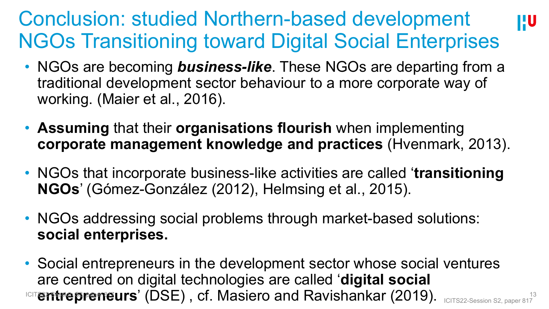## Conclusion: studied Northern-based development NGOs Transitioning toward Digital Social Enterprises

**HU** 

- NGOs are becoming **business-like**. These NGOs are departing from a traditional development sector behaviour to a more corporate way of working. (Maier et al., 2016).
- **Assuming** that their **organisations flourish** when implementing **corporate management knowledge and practices** (Hvenmark, 2013).
- NGOs that incorporate business-like activities are called '**transitioning NGOs**' (Gómez-González (2012), Helmsing et al., 2015).
- NGOs addressing social problems through market-based solutions: **social enterprises.**
- ICIT**entrepreneurs' (DSE), cf. Masiero and Ravishankar (2019).** ICITS22-Session S2, paper 817 • Social entrepreneurs in the development sector whose social ventures are centred on digital technologies are called '**digital social**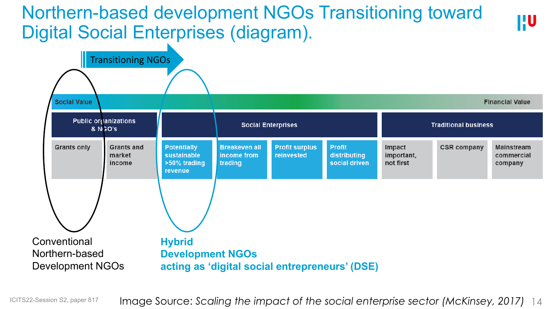## Northern-based development NGOs Transitioning toward Digital Social Enterprises (diagram).



**HU** 

Image Source: *Scaling the impact of the social enterprise sector (McKinsey, 2017)* 14 ICITS22-Session S2, paper 817